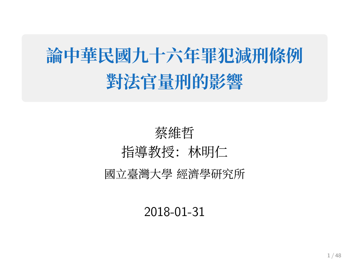# **論中華⺠國九⼗六年罪犯減刑條例 對法官量刑的影響**

## 蔡維哲 指導教授:林明仁 國⽴臺灣⼤學 經濟學研究所

#### 2018-01-31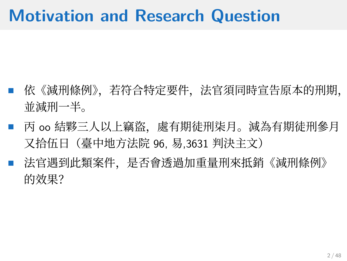### **Motivation and Research Question**

- 依《減刑條例》,若符合特定要件,法官須同時宣告原本的刑期, 並減刑一半。
- 丙 oo 結夥三人以上竊盜, 處有期徒刑柒月。減為有期徒刑參月 又拾伍日(臺中地方法院 96, 易,3631 判決主文)
- 法官遇到此類案件,是否會透過加重量刑來抵銷《減刑條例》 的效果?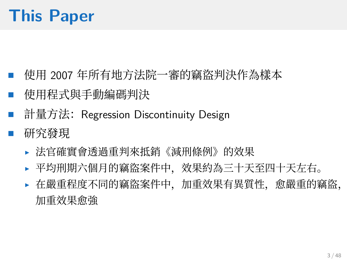## **This Paper**

- 使用 2007 年所有地方法院一審的竊盜判決作為樣本
- 使用程式與手動編碼判決
- 計量⽅法:Regression Discontinuity Design
- 研究發現
	- ▶ 法官確實會透過重判來抵銷《減刑條例》的效果
	- ▶ 平均刑期六個月的竊盜案件中,效果約為三十天至四十天左右。
	- ▶ 在嚴重程度不同的竊盜案件中,加重效果有異質性,愈嚴重的竊盜, 加重效果愈強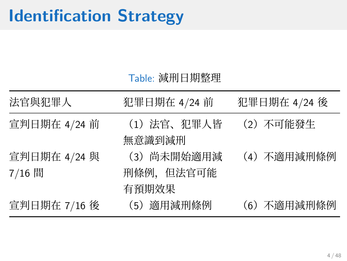### **Identification Strategy**

#### Table: 減刑⽇期整理

| 法官與犯罪人                 | 犯罪日期在 4/24 前                      | 犯罪日期在 4/24 後 |
|------------------------|-----------------------------------|--------------|
| 宣判日期在 4/24 前           | (1)法官、犯罪人皆<br>無意識到減刑              | (2) 不可能發生    |
| 宣判日期在 4/24 與<br>7/16 間 | (3) 尚未開始適用減<br>刑條例,但法官可能<br>有預期效果 | (4) 不適用減刑條例  |
| 宣判日期在 7/16 後           | (5) 適用減刑條例                        | (6) 不適用減刑條例  |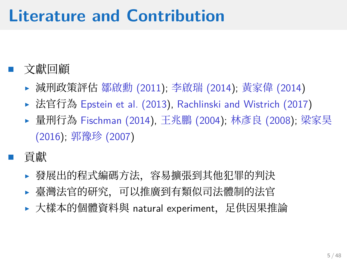## **Literature and Contribution**

- ⽂獻回顧
	- ▶ 減刑政策評估 鄒啟勳 (2011); 李啟瑞 (2014); ⿈家偉 (2014)
	- ▶ 法官行為 Epstein et al. (2013), Rachlinski and Wistrich (2017)
	- ▶ 量刑行為 Fischman (2014), 王兆鵬 (2004); 林彥良 (2008); 梁家昊 (2016); 郭豫珍 (2007)
- 貢獻
	- ▶ 發展出的程式編碼方法,容易擴張到其他犯罪的判決
	- ▶ 臺灣法官的研究,可以推廣到有類似司法體制的法官
	- ▶ 大樣本的個體資料與 natural experiment, 足供因果推論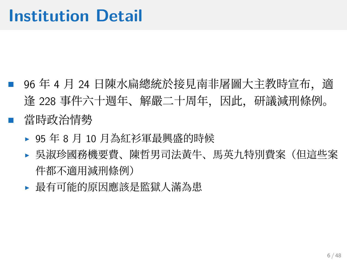- 96 年 4 月 24 日陳水扁總統於接見南非屠圖大主教時宣布,適 逢 228 事件六十週年、解嚴二十周年,因此,研議減刑條例。
	- 當時政治情勢
		- ▶ 95年8月10月為紅衫軍最興盛的時候
		- ▶ 吳淑珍國務機要費、陳哲男司法黃牛、馬英九特別費案(但這些案 件都不適用減刑條例)
		- ▶ 最有可能的原因應該是監獄人滿為患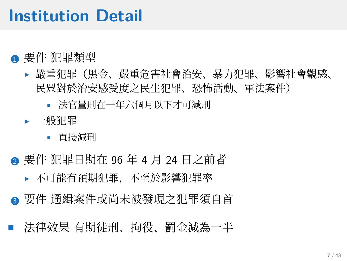### **Institution Detail**

- 要件 犯罪類型
	- ▶ 嚴重犯罪(黑金、嚴重危害社會治安、暴力犯罪、影響社會觀感、 ⺠眾對於治安感受度之⺠⽣犯罪、恐怖活動、軍法案件)
		- 法官量刑在一年六個月以下才可減刑
	- ▶ 一般犯罪
		- 直接減刑
- 要件 犯罪日期在 96 年 4 月 24 日之前者
	- ▶ 不可能有預期犯罪, 不至於影響犯罪率
- ▲ 要件 通緝案件或尚未被發現之犯罪須自首
- 法律效果 有期徒刑、拘役、罰金減為一半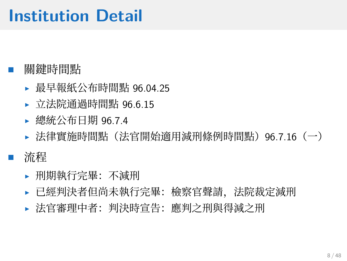## **Institution Detail**

#### • 關鍵時間點

- ▶ 最早報紙公布時間點 96.04.25
- ▶ 立法院通過時間點 96.6.15
- ▶ 總統公布日期 96.74
- ▶ 法律實施時間點 (法官開始適用減刑條例時間點) 96.7.16 (一)
- 流程
	- ▶ 刑期執⾏完畢:不減刑
	- ▶ 已經判決者但尚未執行完畢: 檢察官聲請,法院裁定減刑
	- ▶ 法官審理中者:判決時宣告:應判之刑與得減之刑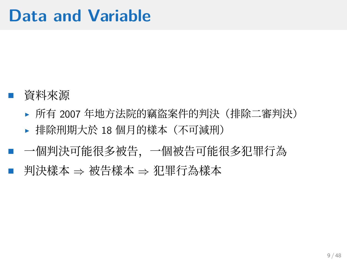- 資料來源
	- ▶ 所有 2007 年地方法院的竊盜案件的判決(排除二審判決)
	- ▶ 排除刑期大於 18 個月的樣本(不可減刑)
- 一個判決可能很多被告,一個被告可能很多犯罪行為 • 判決樣本 *<sup>⇒</sup>* 被告樣本 *<sup>⇒</sup>* 犯罪⾏為樣本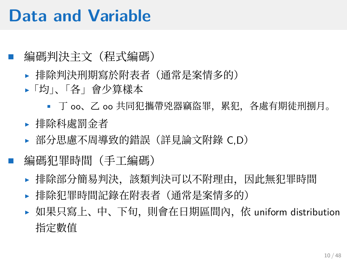### **Data and Variable**

#### • 編碼判決主⽂(程式編碼)

- ▶ 排除判決刑期寫於附表者(通常是案情多的)
- ▶「均」、「各」會少算樣本
	- 丁 oo、乙 oo 共同犯攜帶兇器竊盜罪, 累犯, 各處有期徒刑捌月。
- ▶ 排除科處罰金者
- ▶ 部分思慮不周導致的錯誤 (詳見論文附錄 C.D)

#### 編碼犯罪時間 (手工編碼)

- ▶ 排除部分簡易判決,該類判決可以不附理由,因此無犯罪時間
- ▶ 排除犯罪時間記錄在附表者(通常是案情多的)
- ▶ 如果只寫上、中、下旬, 則會在日期區間內, 依 uniform distribution 指定數值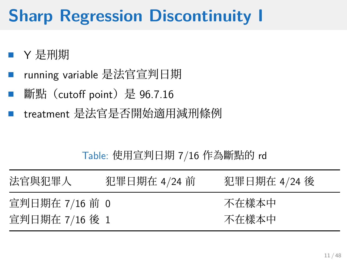## **Sharp Regression Discontinuity I**

- <sup>Y</sup> 是刑期
- running variable 是法官宣判日期
- 斷點(cutoff point)是 96.7.16
- treatment 是法官是否開始適⽤減刑條例

#### Table: 使用宣判日期 7/16 作為斷點的 rd

| 法官與犯罪人         | 犯罪日期在 4/24 前 | 犯罪日期在 4/24 後 |
|----------------|--------------|--------------|
| 宣判日期在 7/16 前 0 |              | 不在樣本中        |
| 宣判日期在 7/16 後 1 |              | 不在樣本中        |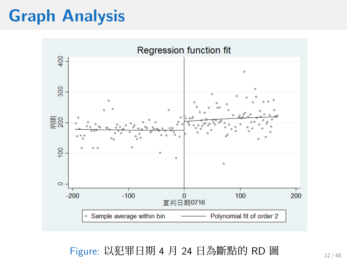## **Graph Analysis**



Figure: 以犯罪日期 4 月 24 日為斷點的 RD 圖  $_{12/48}$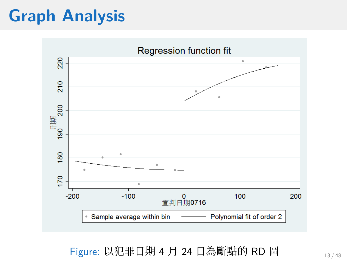## **Graph Analysis**



Figure: 以犯罪日期 4 月 24 日為斷點的 RD 圖 13/48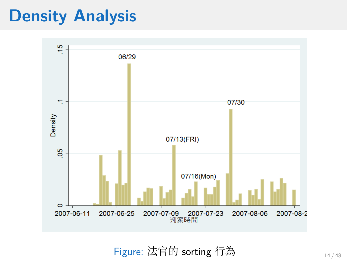### **Density Analysis**



Figure: 法官的 sorting 行為  $14/48$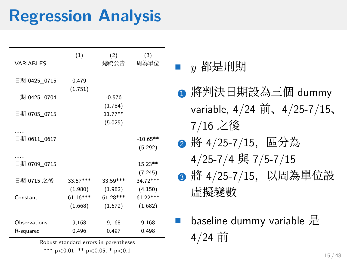## **Regression Analysis**

| VARIABLES                 | (1)                              | (2)<br>總統公告                    | (3)<br>周為單位                      |
|---------------------------|----------------------------------|--------------------------------|----------------------------------|
| 日期 0425 0715              | 0.479<br>(1.751)                 |                                |                                  |
| 日期 0425 0704              |                                  | $-0.576$                       |                                  |
| 日期 0705_0715              |                                  | (1.784)<br>$11.77**$           |                                  |
|                           |                                  | (5.025)                        |                                  |
| 日期 0611_0617              |                                  |                                | $-10.65**$<br>(5.292)            |
| .<br>日期 0709_0715         |                                  |                                | 15.23**<br>(7.245)               |
| 日期 0715 之後                | 33.57***                         | 33.59***                       | 34.72***                         |
| Constant                  | (1.980)<br>$61.16***$<br>(1.668) | (1.982)<br>61.28***<br>(1.672) | (4.150)<br>$61.22***$<br>(1.682) |
| Observations<br>R-squared | 9,168<br>0.496                   | 9,168<br>0.497                 | 9,168<br>0.498                   |

Robust standard errors in parentheses

\*\*\* p*<*0.01, \*\* p*<*0.05, \* p*<*0.1

■ y 都是刑期

- **1 將判決日期設為三個 dummy** variable, 4/24 前、4/25-7/15、 7/16 之後
- 將 4/25-7/15, 區分為 4/25-7/4 與 7/5-7/15
- 6 將 4/25-7/15, 以周為單位設 虛擬變數
- baseline dummy variable <sup>是</sup> 4/24 前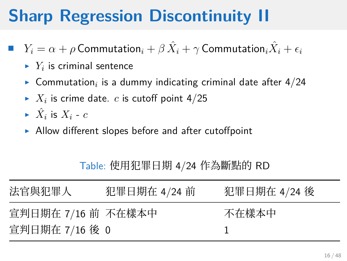## **Sharp Regression Discontinuity II**

- **•**  $Y_i = \alpha + \rho$  Commutation<sub>*i*</sub> +  $\beta \hat{X}_i + \gamma$  Commutation<sub>*i*</sub> $\hat{X}_i + \epsilon_i$ 
	- $\blacktriangleright$   $Y_i$  is criminal sentence
	- $\blacktriangleright$  Commutation<sub>*i*</sub> is a dummy indicating criminal date after 4/24
	- $\blacktriangleright$   $X_i$  is crime date.  $c$  is cutoff point 4/25
	- $\blacktriangleright$   $\hat{X}_i$  is  $X_i$   $c$
	- ▶ Allow different slopes before and after cutoffpoint

Table: 使用犯罪日期 4/24 作為斷點的 RD

| 法官與犯罪人             | 犯罪日期在 4/24 前 | 犯罪日期在 4/24 後 |
|--------------------|--------------|--------------|
| 宣判日期在 7/16 前 不在樣本中 |              | 不在樣本中        |
| 宣判日期在 7/16 後 0     |              |              |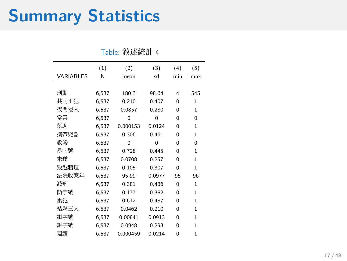## **Summary Statistics**

|                  | (1)   | (2)      | (3)      | (4)      | (5)      |
|------------------|-------|----------|----------|----------|----------|
| <b>VARIABLES</b> | N     | mean     | sd       | min      | max      |
|                  |       |          |          |          |          |
| 刑期               | 6,537 | 180.3    | 98.64    | 4        | 545      |
| 共同正犯             | 6,537 | 0.210    | 0.407    | $\Omega$ | 1        |
| 夜間侵入             | 6,537 | 0.0857   | 0.280    | $\Omega$ | 1        |
| 常業               | 6,537 | $\Omega$ | $\Omega$ | $\Omega$ | $\Omega$ |
| 幫助               | 6,537 | 0.000153 | 0.0124   | $\Omega$ | 1        |
| 攜帶兇器             | 6,537 | 0.306    | 0.461    | $\Omega$ | 1        |
| 教唆               | 6,537 | $\Omega$ | $\Omega$ | $\Omega$ | $\Omega$ |
| 易字號              | 6,537 | 0.728    | 0.445    | $\Omega$ | 1        |
| 未遂               | 6.537 | 0.0708   | 0.257    | $\Omega$ | 1        |
| 毀越牆垣             | 6,537 | 0.105    | 0.307    | $\Omega$ | 1        |
| 法院收案年            | 6,537 | 95.99    | 0.0977   | 95       | 96       |
| 減刑               | 6.537 | 0.381    | 0.486    | $\Omega$ | 1        |
| 簡字號              | 6,537 | 0.177    | 0.382    | $\Omega$ | 1        |
| 累犯               | 6,537 | 0.612    | 0.487    | $\Omega$ | 1        |
| 結夥三人             | 6.537 | 0.0462   | 0.210    | $\Omega$ | 1        |
| 緝字號              | 6,537 | 0.00841  | 0.0913   | $\Omega$ | 1        |
| 訴字號              | 6,537 | 0.0948   | 0.293    | $\Omega$ | 1        |
| 連續               | 6.537 | 0.000459 | 0.0214   | $\Omega$ | 1        |

Table: 敘述統計 4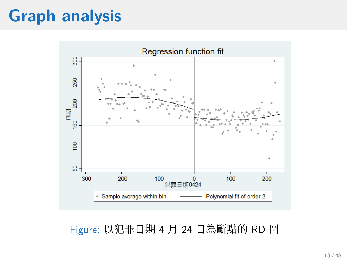## **Graph analysis**



Figure: 以犯罪日期 4 月 24 日為斷點的 RD 圖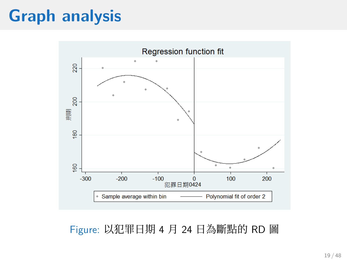## **Graph analysis**



Figure: 以犯罪日期 4 月 24 日為斷點的 RD 圖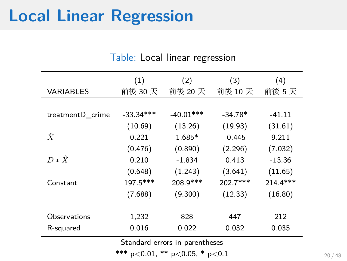## **Local Linear Regression**

|                                | (1)         | (2)         | (3)       | (4)      |
|--------------------------------|-------------|-------------|-----------|----------|
| <b>VARIABLES</b>               | 前後 30 天     | 前後 20 天     | 前後 10 天   | 前後 5天    |
|                                |             |             |           |          |
| treatmentD_crime               | $-33.34***$ | $-40.01***$ | $-34.78*$ | $-41.11$ |
|                                | (10.69)     | (13.26)     | (19.93)   | (31.61)  |
| $\hat{X}$                      | 0.221       | 1.685*      | $-0.445$  | 9.211    |
|                                | (0.476)     | (0.890)     | (2.296)   | (7.032)  |
| $D * \hat{X}$                  | 0.210       | $-1.834$    | 0.413     | $-13.36$ |
|                                | (0.648)     | (1.243)     | (3.641)   | (11.65)  |
| Constant                       | 197.5***    | 208.9***    | 202.7***  | 214.4*** |
|                                | (7.688)     | (9.300)     | (12.33)   | (16.80)  |
|                                |             |             |           |          |
| Observations                   | 1,232       | 828         | 447       | 212      |
| R-squared                      | 0.016       | 0.022       | 0.032     | 0.035    |
| Standard errors in parentheses |             |             |           |          |

Table: Local linear regression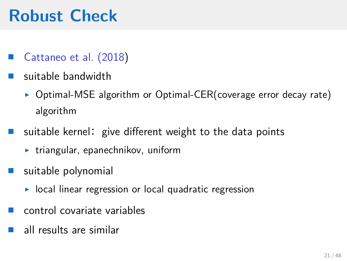- Cattaneo et al. (2018)
- **u** suitable bandwidth
	- ▶ Optimal-MSE algorithm or Optimal-CER(coverage error decay rate) algorithm
- $\blacksquare$  suitable kernel: give different weight to the data points
	- ▶ triangular, epanechnikov, uniform
- **u** suitable polynomial
	- ▶ local linear regression or local quadratic regression
- $\blacksquare$  control covariate variables
- all results are similar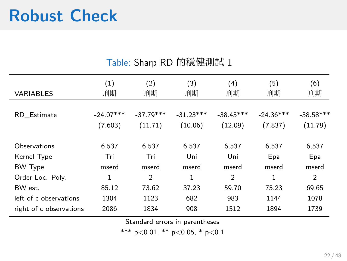#### Table: Sharp RD 的穩健測試 1

| <b>VARIABLES</b>        | (1)<br>刑期   | (2)<br>刑期   | (3)<br>刑期   | (4)<br>刑期   | (5)<br>刑期   | (6)<br>刑期    |
|-------------------------|-------------|-------------|-------------|-------------|-------------|--------------|
| RD Estimate             | $-24.07***$ | $-37.79***$ | $-31.23***$ | $-38.45***$ | $-24.36***$ | $-38.58$ *** |
|                         | (7.603)     | (11.71)     | (10.06)     | (12.09)     | (7.837)     | (11.79)      |
| Observations            | 6.537       | 6,537       | 6,537       | 6,537       | 6,537       | 6,537        |
| Kernel Type             | Tri         | Tri         | Uni         | Uni         | Epa         | Epa          |
| <b>BW Type</b>          | mserd       | mserd       | mserd       | mserd       | mserd       | mserd        |
| Order Loc. Poly.        | 1           | 2           | 1           | 2           | 1           | 2            |
| BW est.                 | 85.12       | 73.62       | 37.23       | 59.70       | 75.23       | 69.65        |
| left of c observations  | 1304        | 1123        | 682         | 983         | 1144        | 1078         |
| right of c observations | 2086        | 1834        | 908         | 1512        | 1894        | 1739         |

Standard errors in parentheses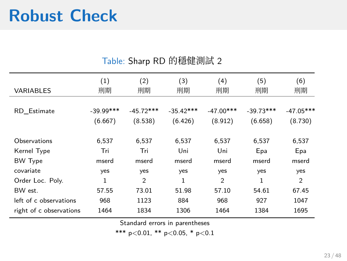J.

ł,

| <b>VARIABLES</b>        | (1)<br>刑期   | (2)<br>刑期      | (3)<br>刑期    | (4)<br>刑期      | (5)<br>刑期    | (6)<br>刑期      |
|-------------------------|-------------|----------------|--------------|----------------|--------------|----------------|
|                         |             |                |              |                |              |                |
| RD Estimate             | $-39.99***$ | $-45.72***$    | $-35.42***$  | $-47.00***$    | $-39.73***$  | $-47.05***$    |
|                         | (6.667)     | (8.538)        | (6.426)      | (8.912)        | (6.658)      | (8.730)        |
|                         |             |                |              |                |              |                |
| Observations            | 6,537       | 6,537          | 6,537        | 6,537          | 6,537        | 6,537          |
| Kernel Type             | Tri         | Tri            | Uni          | Uni            | Epa          | Epa            |
| <b>BW Type</b>          | mserd       | mserd          | mserd        | mserd          | mserd        | mserd          |
| covariate               | yes         | yes            | yes          | yes            | yes          | yes            |
| Order Loc. Poly.        | 1           | $\overline{2}$ | $\mathbf{1}$ | $\overline{2}$ | $\mathbf{1}$ | $\overline{2}$ |
| BW est.                 | 57.55       | 73.01          | 51.98        | 57.10          | 54.61        | 67.45          |
| left of c observations  | 968         | 1123           | 884          | 968            | 927          | 1047           |
| right of c observations | 1464        | 1834           | 1306         | 1464           | 1384         | 1695           |
|                         |             |                |              |                |              |                |

Table: Sharp RD 的穩健測試 2

Standard errors in parentheses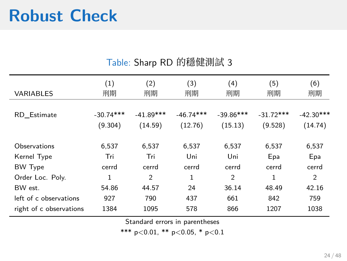#### Table: Sharp RD 的穩健測試 3

| <b>VARIABLES</b>        | (1)<br>刑期   | (2)<br>刑期   | (3)<br>刑期   | (4)<br>刑期   | (5)<br>刑期   | (6)<br>刑期   |
|-------------------------|-------------|-------------|-------------|-------------|-------------|-------------|
|                         |             |             |             |             |             |             |
| RD Estimate             | $-30.74***$ | $-41.89***$ | $-46.74***$ | $-39.86***$ | $-31.72***$ | $-42.30***$ |
|                         | (9.304)     | (14.59)     | (12.76)     | (15.13)     | (9.528)     | (14.74)     |
|                         |             |             |             |             |             |             |
| Observations            | 6,537       | 6,537       | 6,537       | 6,537       | 6,537       | 6,537       |
| Kernel Type             | Tri         | Tri         | Uni         | Uni         | Epa         | Epa         |
| <b>BW Type</b>          | cerrd       | cerrd       | cerrd       | cerrd       | cerrd       | cerrd       |
| Order Loc. Poly.        | 1           | 2           | 1           | 2           | 1           | 2           |
| BW est.                 | 54.86       | 44.57       | 24          | 36.14       | 48.49       | 42.16       |
| left of c observations  | 927         | 790         | 437         | 661         | 842         | 759         |
| right of c observations | 1384        | 1095        | 578         | 866         | 1207        | 1038        |

Standard errors in parentheses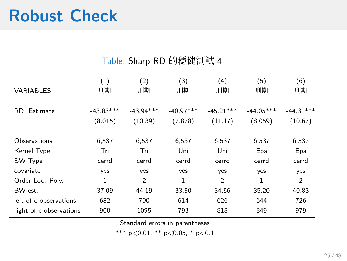J.

ł,

| <b>VARIABLES</b>        | (1)<br>刑期   | (2)<br>刑期      | (3)<br>刑期   | (4)<br>刑期      | (5)<br>刑期    | (6)<br>刑期      |
|-------------------------|-------------|----------------|-------------|----------------|--------------|----------------|
|                         |             |                |             |                |              |                |
| RD Estimate             | $-43.83***$ | $-43.94***$    | $-40.97***$ | $-45.21***$    | $-44.05***$  | $-44.31***$    |
|                         | (8.015)     | (10.39)        | (7.878)     | (11.17)        | (8.059)      | (10.67)        |
| Observations            | 6.537       | 6.537          | 6,537       | 6,537          | 6,537        | 6,537          |
| Kernel Type             | Tri         | Tri            | Uni         | Uni            | Epa          | Epa            |
| <b>BW Type</b>          | cerrd       | cerrd          | cerrd       | cerrd          | cerrd        | cerrd          |
| covariate               | yes         | yes            | yes         | yes            | yes          | yes            |
| Order Loc. Poly.        | 1           | $\overline{2}$ | 1           | $\overline{2}$ | $\mathbf{1}$ | $\overline{2}$ |
| BW est.                 | 37.09       | 44.19          | 33.50       | 34.56          | 35.20        | 40.83          |
| left of c observations  | 682         | 790            | 614         | 626            | 644          | 726            |
| right of c observations | 908         | 1095           | 793         | 818            | 849          | 979            |

#### Table: Sharp RD 的穩健測試 4

Standard errors in parentheses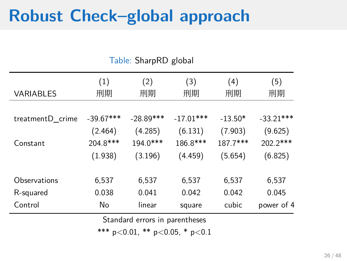### **Robust Check–global approach**

 $(1)$   $(2)$   $(3)$   $(4)$   $(5)$ VARIABLES 刑期 刑期 刑期 刑期 刑期 treatmentD\_crime -39.67\*\*\* -28.89\*\*\* -17.01\*\*\* -13.50\* -33.21\*\*\* (2.464) (4.285) (6.131) (7.903) (9.625) Constant 204.8\*\*\* 194.0\*\*\* 186.8\*\*\* 187.7\*\*\* 202.2\*\*\* (1.938) (3.196) (4.459) (5.654) (6.825) Observations 6,537 6,537 6,537 6,537 6,537 R-squared 0.038 0.041 0.042 0.042 0.045 Control No linear square cubic power of 4

Table: SharpRD global

Standard errors in parentheses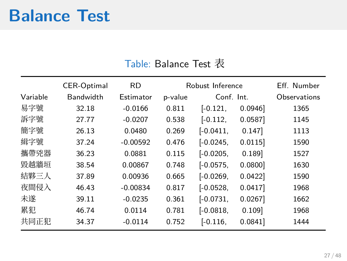### **Balance Test**

#### Table: Balance Test 表

|          | CER-Optimal      | <b>RD</b>  |         | Robust Inference |         | Fff Number   |
|----------|------------------|------------|---------|------------------|---------|--------------|
| Variable | <b>Bandwidth</b> | Estimator  | p-value | Conf. Int.       |         | Observations |
| 易字號      | 32.18            | $-0.0166$  | 0.811   | $[-0.121]$       | 0.0946  | 1365         |
| 訴字號      | 27.77            | $-0.0207$  | 0.538   | $[-0.112]$       | 0.0587  | 1145         |
| 簡字號      | 26.13            | 0.0480     | 0.269   | $[-0.0411]$      | 0.147   | 1113         |
| 緝字號      | 37.24            | $-0.00592$ | 0.476   | $[-0.0245]$      | 0.0115  | 1590         |
| 攜帶兇器     | 36.23            | 0.0881     | 0.115   | $[-0.0205]$      | 0.189   | 1527         |
| 毀越牆垣     | 38.54            | 0.00867    | 0.748   | $[-0.0575]$      | 0.0800] | 1630         |
| 結夥三人     | 37.89            | 0.00936    | 0.665   | $[-0.0269]$      | 0.0422  | 1590         |
| 夜間侵入     | 46.43            | $-0.00834$ | 0.817   | $[-0.0528,$      | 0.0417  | 1968         |
| 未遂       | 39.11            | $-0.0235$  | 0.361   | $[-0.0731]$      | 0.0267  | 1662         |
| 累犯       | 46.74            | 0.0114     | 0.781   | $[-0.0818,$      | 0.109   | 1968         |
| 共同正犯     | 34.37            | $-0.0114$  | 0.752   | $[-0.116]$       | 0.0841  | 1444         |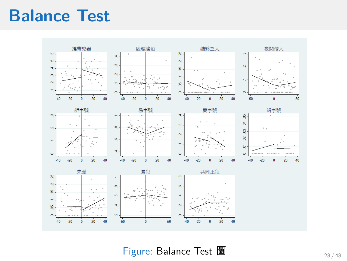### **Balance Test**



Figure: Balance Test 圖 28/48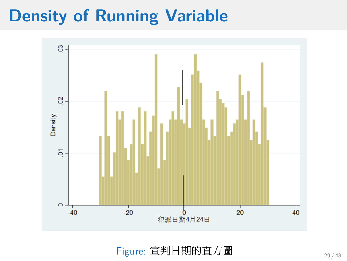

Figure: 宣判日期的直方圖 29/48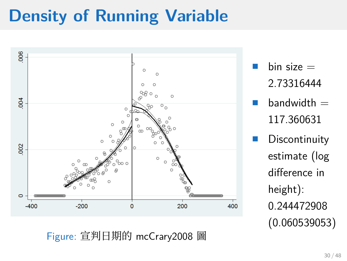

bin size  $=$ 2.73316444

 $bandwidth =$ 117.360631

**Discontinuity** estimate (log difference in height): 0.244472908 (0.060539053)

Figure: 宣判⽇期的 mcCrary2008 圖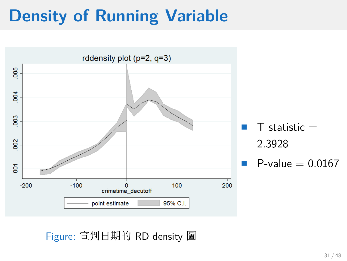

Figure: 宣判日期的 RD density 圖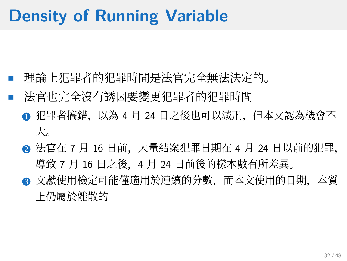- 理論上犯罪者的犯罪時間是法官完全無法決定的。
- 法官也完全沒有誘因要變更犯罪者的犯罪時間
	- ❶ 犯罪者搞錯,以為 4 月 24 日之後也可以減刑,但本文認為機會不 ⼤。
	- 2 法官在 7 月 16 日前,大量結案犯罪日期在 4 月 24 日以前的犯罪, 導致 7 月 16 日之後,4 月 24 日前後的樣本數有所差異。
	- 文獻使用檢定可能僅適用於連續的分數, 而本文使用的日期, 本質 上仍屬於離散的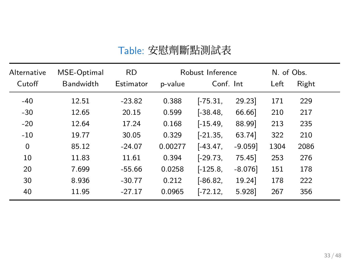| Table: 安慰劑斷點測試表 |
|-----------------|
|-----------------|

| Alternative | MSE-Optimal | <b>RD</b> | Robust Inference |            |          | N. of Obs. |       |
|-------------|-------------|-----------|------------------|------------|----------|------------|-------|
| Cutoff      | Bandwidth   | Estimator | p-value          | Conf. Int  |          | Left       | Right |
| $-40$       | 12.51       | $-23.82$  | 0.388            | $[-75.31]$ | 29.23    | 171        | 229   |
| $-30$       | 12.65       | 20.15     | 0.599            | $[-38.48,$ | 66.66    | 210        | 217   |
| $-20$       | 12.64       | 17.24     | 0.168            | $[-15.49]$ | 88.99    | 213        | 235   |
| $-10$       | 19.77       | 30.05     | 0.329            | $[-21.35]$ | 63.74    | 322        | 210   |
| $\mathbf 0$ | 85.12       | $-24.07$  | 0.00277          | $[-43.47]$ | $-9.059$ | 1304       | 2086  |
| 10          | 11.83       | 11.61     | 0.394            | $[-29.73]$ | 75.45    | 253        | 276   |
| 20          | 7.699       | $-55.66$  | 0.0258           | $[-125.8]$ | $-8.076$ | 151        | 178   |
| 30          | 8.936       | $-30.77$  | 0.212            | $[-86.82,$ | 19.24    | 178        | 222   |
| 40          | 11.95       | $-27.17$  | 0.0965           | $[-72.12,$ | 5.928    | 267        | 356   |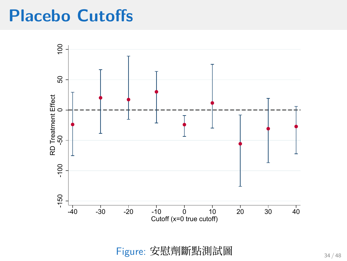### **Placebo Cutoffs**



Figure: 安慰劑斷點測試圖  $34 / 48$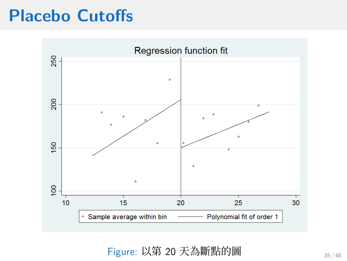### **Placebo Cutoffs**



Figure: 以第 20 天為斷點的圖 35/48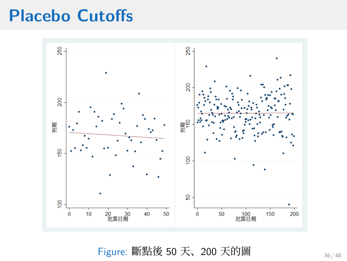### **Placebo Cutoffs**



Figure: 斷點後 50 天、200 天的圖 36/48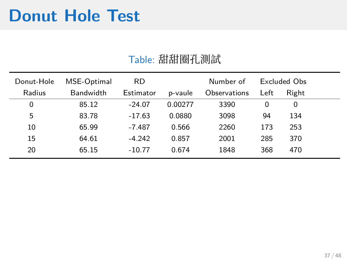### **Donut Hole Test**

#### Table: 甜甜圈孔測試

| Donut-Hole | MSE-Optimal | <b>RD</b> |         | Number of    |      | Excluded Obs |
|------------|-------------|-----------|---------|--------------|------|--------------|
| Radius     | Bandwidth   | Estimator | p-vaule | Observations | Left | Right        |
| 0          | 85.12       | $-24.07$  | 0.00277 | 3390         | 0    | 0            |
| 5          | 83.78       | $-17.63$  | 0.0880  | 3098         | 94   | 134          |
| 10         | 65.99       | $-7.487$  | 0.566   | 2260         | 173  | 253          |
| 15         | 64.61       | $-4.242$  | 0.857   | 2001         | 285  | 370          |
| 20         | 65.15       | $-10.77$  | 0.674   | 1848         | 368  | 470          |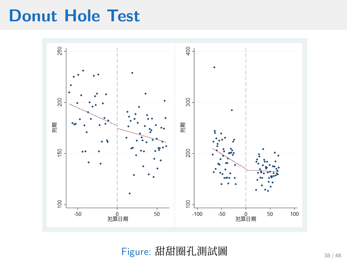### **Donut Hole Test**

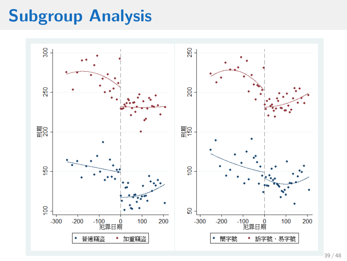## **Subgroup Analysis**

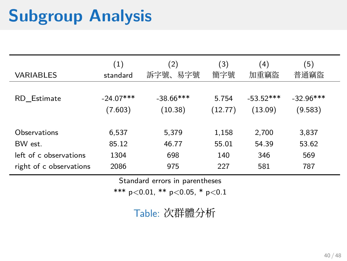## **Subgroup Analysis**

| <b>VARIABLES</b>        | (1)<br>standard | (2)<br>訴字號、<br>易字號 | (3)<br>簡字號 | $\left(4\right)$<br>加重竊盜 | $\left(5\right)$<br>普通竊盜 |
|-------------------------|-----------------|--------------------|------------|--------------------------|--------------------------|
| RD Estimate             | $-24.07***$     | $-38.66$ ***       | 5.754      | $-53.52***$              | $-32.96***$              |
|                         | (7.603)         | (10.38)            | (12.77)    | (13.09)                  | (9.583)                  |
| Observations            | 6,537           | 5,379              | 1,158      | 2,700                    | 3,837                    |
| BW est.                 | 85.12           | 46.77              | 55.01      | 54.39                    | 53.62                    |
| left of c observations  | 1304            | 698                | 140        | 346                      | 569                      |
| right of c observations | 2086            | 975                | 227        | 581                      | 787                      |

Standard errors in parentheses

\*\*\* p*<*0.01, \*\* p*<*0.05, \* p*<*0.1

Table: 次群體分析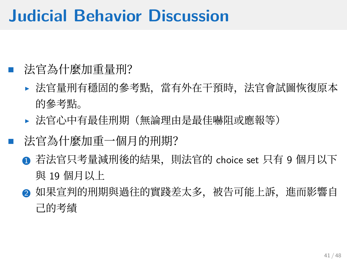### **Judicial Behavior Discussion**

#### • 法官為什麼加重量刑?

- ▶ 法官量刑有穩固的參考點,當有外在干預時,法官會試圖恢復原本 的參考點。
- ▶ 法官心中有最佳刑期(無論理由是最佳嚇阻或應報等)
- 法官為什麼加重一個月的刑期?
	- **若法官只考量減刑後的結果, 則法官的 choice set 只有 9 個月以下** 與 19 個月以上
	- ❷ 如果宣判的刑期與過往的實踐差太多,被告可能上訴,進而影響自 ⼰的考績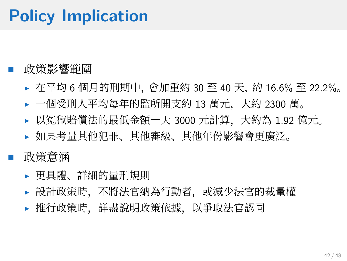## **Policy Implication**

#### • 政策影響範圍

- ▶ 在平均 6 個月的刑期中, 會加重約 30 至 40 天, 約 16.6% 至 22.2%。
- ▶ 一個受刑人平均每年的監所開支約 13 萬元,大約 2300 萬。
- ▶ 以冤獄賠償法的最低金額一天 3000 元計算, 大約為 1.92 億元。
- ▶ 如果考量其他犯罪、其他審級、其他年份影響會更廣泛。

• 政策意涵

- ▶ 更具體、詳細的量刑規則
- ▶ 設計政策時, 不將法官納為行動者, 或減少法官的裁量權
- ▶ 推行政策時,詳盡說明政策依據,以爭取法官認同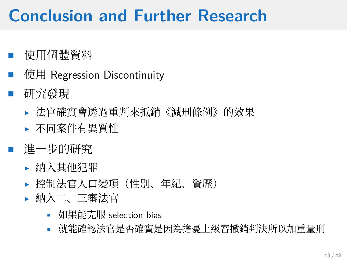## **Conclusion and Further Research**

- 使⽤個體資料
- 使⽤ Regression Discontinuity
- 研究發現
	- ▶ 法官確實會透過重判來抵銷《減刑條例》的效果
	- ▶ 不同案件有異質性
- 谁一步的研究
	- ▶ 納入其他犯罪
	- ▶ 控制法官人口變項(性別、年紀、資歷)
	- ▶ 納入二、三審法官
		- 如果能克服 selection bias
		- 就能確認法官是否確實是因為擔憂上級審撤銷判決所以加重量刑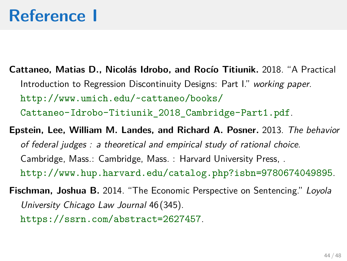### **Reference I**

- **Cattaneo, Matias D., Nicolás Idrobo, and Rocío Titiunik.** 2018. "A Practical Introduction to Regression Discontinuity Designs: Part I." *working paper*. http://www.umich.edu/~cattaneo/books/ Cattaneo-Idrobo-Titiunik\_2018\_Cambridge-Part1.pdf.
- **Epstein, Lee, William M. Landes, and Richard A. Posner.** 2013. *The behavior of federal judges : a theoretical and empirical study of rational choice*. Cambridge, Mass.: Cambridge, Mass. : Harvard University Press, . http://www.hup.harvard.edu/catalog.php?isbn=9780674049895.
- **Fischman, Joshua B.** 2014. "The Economic Perspective on Sentencing." *Loyola University Chicago Law Journal* 46(345). https://ssrn.com/abstract=2627457.